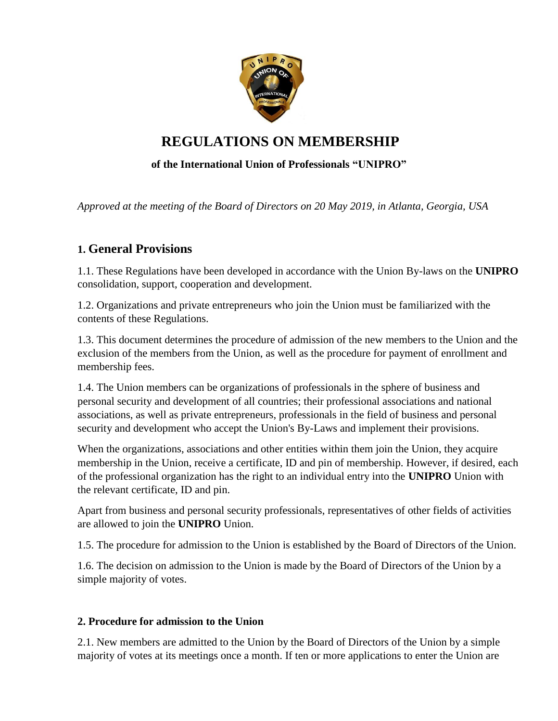

# **REGULATIONS ON MEMBERSHIP**

## **of the International Union of Professionals "UNIPRO"**

*Approved at the meeting of the Board of Directors on 20 May 2019, in Atlanta, Georgia, USA*

## **1. General Provisions**

1.1. These Regulations have been developed in accordance with the Union By-laws on the **UNIPRO** consolidation, support, cooperation and development.

1.2. Organizations and private entrepreneurs who join the Union must be familiarized with the contents of these Regulations.

1.3. This document determines the procedure of admission of the new members to the Union and the exclusion of the members from the Union, as well as the procedure for payment of enrollment and membership fees.

1.4. The Union members can be organizations of professionals in the sphere of business and personal security and development of all countries; their professional associations and national associations, as well as private entrepreneurs, professionals in the field of business and personal security and development who accept the Union's By-Laws and implement their provisions.

When the organizations, associations and other entities within them join the Union, they acquire membership in the Union, receive a certificate, ID and pin of membership. However, if desired, each of the professional organization has the right to an individual entry into the **UNIPRO** Union with the relevant certificate, ID and pin.

Apart from business and personal security professionals, representatives of other fields of activities are allowed to join the **UNIPRO** Union.

1.5. The procedure for admission to the Union is established by the Board of Directors of the Union.

1.6. The decision on admission to the Union is made by the Board of Directors of the Union by a simple majority of votes.

### **2. Procedure for admission to the Union**

2.1. New members are admitted to the Union by the Board of Directors of the Union by a simple majority of votes at its meetings once a month. If ten or more applications to enter the Union are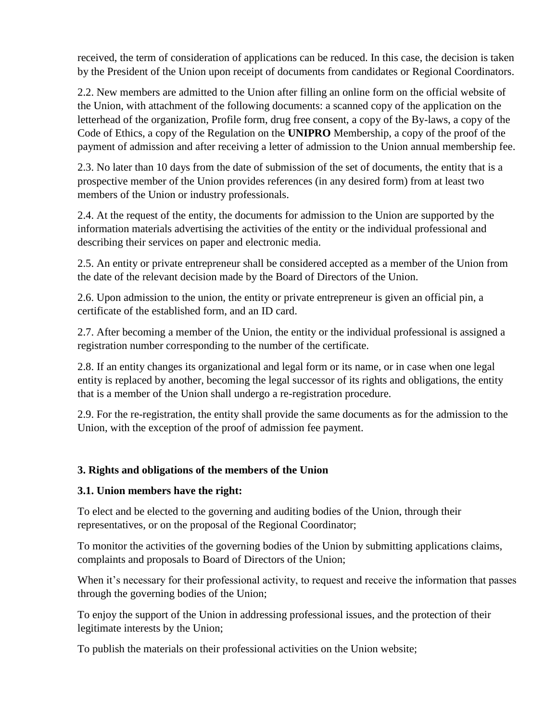received, the term of consideration of applications can be reduced. In this case, the decision is taken by the President of the Union upon receipt of documents from candidates or Regional Coordinators.

2.2. New members are admitted to the Union after filling an online form on the official website of the Union, with attachment of the following documents: a scanned copy of the application on the letterhead of the organization, Profile form, drug free consent, a copy of the By-laws, a copy of the Code of Ethics, a copy of the Regulation on the **UNIPRO** Membership, a copy of the proof of the payment of admission and after receiving a letter of admission to the Union annual membership fee.

2.3. No later than 10 days from the date of submission of the set of documents, the entity that is a prospective member of the Union provides references (in any desired form) from at least two members of the Union or industry professionals.

2.4. At the request of the entity, the documents for admission to the Union are supported by the information materials advertising the activities of the entity or the individual professional and describing their services on paper and electronic media.

2.5. An entity or private entrepreneur shall be considered accepted as a member of the Union from the date of the relevant decision made by the Board of Directors of the Union.

2.6. Upon admission to the union, the entity or private entrepreneur is given an official pin, a certificate of the established form, and an ID card.

2.7. After becoming a member of the Union, the entity or the individual professional is assigned a registration number corresponding to the number of the certificate.

2.8. If an entity changes its organizational and legal form or its name, or in case when one legal entity is replaced by another, becoming the legal successor of its rights and obligations, the entity that is a member of the Union shall undergo a re-registration procedure.

2.9. For the re-registration, the entity shall provide the same documents as for the admission to the Union, with the exception of the proof of admission fee payment.

## **3. Rights and obligations of the members of the Union**

### **3.1. Union members have the right:**

To elect and be elected to the governing and auditing bodies of the Union, through their representatives, or on the proposal of the Regional Coordinator;

To monitor the activities of the governing bodies of the Union by submitting applications claims, complaints and proposals to Board of Directors of the Union;

When it's necessary for their professional activity, to request and receive the information that passes through the governing bodies of the Union;

To enjoy the support of the Union in addressing professional issues, and the protection of their legitimate interests by the Union;

To publish the materials on their professional activities on the Union website;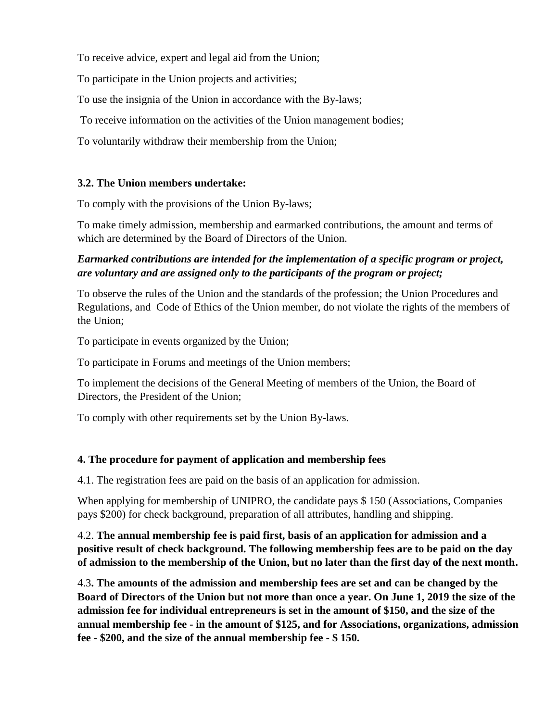To receive advice, expert and legal aid from the Union;

To participate in the Union projects and activities;

To use the insignia of the Union in accordance with the By-laws;

To receive information on the activities of the Union management bodies;

To voluntarily withdraw their membership from the Union;

## **3.2. The Union members undertake:**

To comply with the provisions of the Union By-laws;

To make timely admission, membership and earmarked contributions, the amount and terms of which are determined by the Board of Directors of the Union.

## *Earmarked contributions are intended for the implementation of a specific program or project, are voluntary and are assigned only to the participants of the program or project;*

To observe the rules of the Union and the standards of the profession; the Union Procedures and Regulations, and Code of Ethics of the Union member, do not violate the rights of the members of the Union;

To participate in events organized by the Union;

To participate in Forums and meetings of the Union members;

To implement the decisions of the General Meeting of members of the Union, the Board of Directors, the President of the Union;

To comply with other requirements set by the Union By-laws.

## **4. The procedure for payment of application and membership fees**

4.1. The registration fees are paid on the basis of an application for admission.

When applying for membership of UNIPRO, the candidate pays \$ 150 (Associations, Companies pays \$200) for check background, preparation of all attributes, handling and shipping.

4.2. **The annual membership fee is paid first, basis of an application for admission and a positive result of check background. The following membership fees are to be paid on the day of admission to the membership of the Union, but no later than the first day of the next month.**

4.3**. The amounts of the admission and membership fees are set and can be changed by the Board of Directors of the Union but not more than once a year. On June 1, 2019 the size of the admission fee for individual entrepreneurs is set in the amount of \$150, and the size of the annual membership fee - in the amount of \$125, and for Associations, organizations, admission fee - \$200, and the size of the annual membership fee - \$ 150.**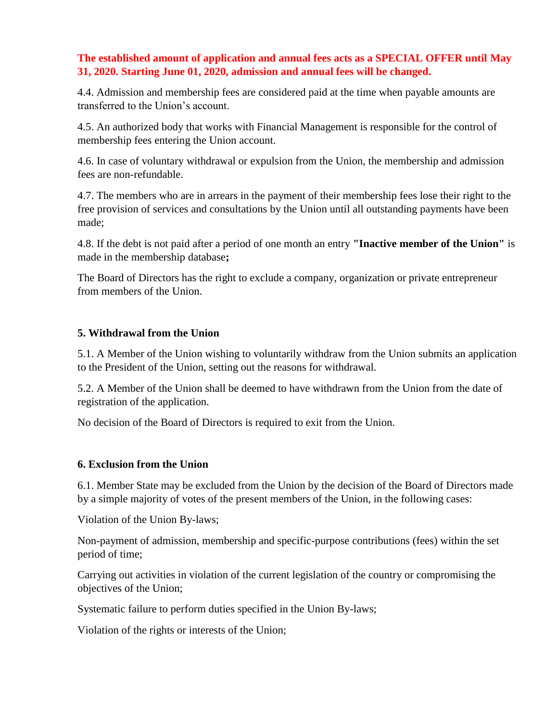## **The established amount of application and annual fees acts as a SPECIAL OFFER until May 31, 2020. Starting June 01, 2020, admission and annual fees will be changed.**

4.4. Admission and membership fees are considered paid at the time when payable amounts are transferred to the Union's account.

4.5. An authorized body that works with Financial Management is responsible for the control of membership fees entering the Union account.

4.6. In case of voluntary withdrawal or expulsion from the Union, the membership and admission fees are non-refundable.

4.7. The members who are in arrears in the payment of their membership fees lose their right to the free provision of services and consultations by the Union until all outstanding payments have been made;

4.8. If the debt is not paid after a period of one month an entry **"Inactive member of the Union"** is made in the membership database**;**

The Board of Directors has the right to exclude a company, organization or private entrepreneur from members of the Union.

### **5. Withdrawal from the Union**

5.1. A Member of the Union wishing to voluntarily withdraw from the Union submits an application to the President of the Union, setting out the reasons for withdrawal.

5.2. A Member of the Union shall be deemed to have withdrawn from the Union from the date of registration of the application.

No decision of the Board of Directors is required to exit from the Union.

### **6. Exclusion from the Union**

6.1. Member State may be excluded from the Union by the decision of the Board of Directors made by a simple majority of votes of the present members of the Union, in the following cases:

Violation of the Union By-laws;

Non-payment of admission, membership and specific-purpose contributions (fees) within the set period of time;

Carrying out activities in violation of the current legislation of the country or compromising the objectives of the Union;

Systematic failure to perform duties specified in the Union By-laws;

Violation of the rights or interests of the Union;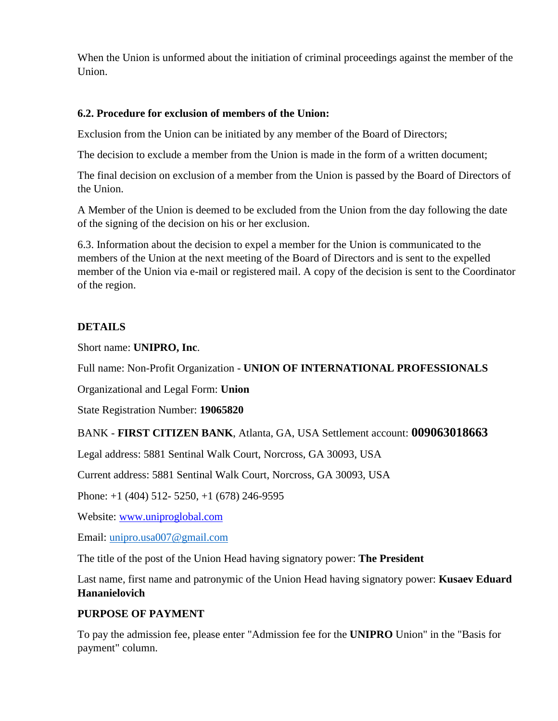When the Union is unformed about the initiation of criminal proceedings against the member of the Union.

#### **6.2. Procedure for exclusion of members of the Union:**

Exclusion from the Union can be initiated by any member of the Board of Directors;

The decision to exclude a member from the Union is made in the form of a written document;

The final decision on exclusion of a member from the Union is passed by the Board of Directors of the Union.

A Member of the Union is deemed to be excluded from the Union from the day following the date of the signing of the decision on his or her exclusion.

6.3. Information about the decision to expel a member for the Union is communicated to the members of the Union at the next meeting of the Board of Directors and is sent to the expelled member of the Union via e-mail or registered mail. A copy of the decision is sent to the Coordinator of the region.

#### **DETAILS**

Short name: **UNIPRO, Inc**.

Full name: Non-Profit Organization - **UNION OF INTERNATIONAL PROFESSIONALS**

Organizational and Legal Form: **Union**

State Registration Number: **19065820**

BANK - **FIRST CITIZEN BANK**, Atlanta, GA, USA Settlement account: **009063018663**

Legal address: 5881 Sentinal Walk Court, Norcross, GA 30093, USA

Current address: 5881 Sentinal Walk Court, Norcross, GA 30093, USA

Phone: +1 (404) 512- 5250, +1 (678) 246-9595

Website: [www.uniproglobal.com](http://www.uniproglobal.com/)

Email: [unipro.usa007@gmail.com](mailto:unipro.usa007@gmail.com)

The title of the post of the Union Head having signatory power: **The President**

Last name, first name and patronymic of the Union Head having signatory power: **Kusaev Eduard Hananielovich**

### **PURPOSE OF PAYMENT**

To pay the admission fee, please enter "Admission fee for the **UNIPRO** Union" in the "Basis for payment" column.